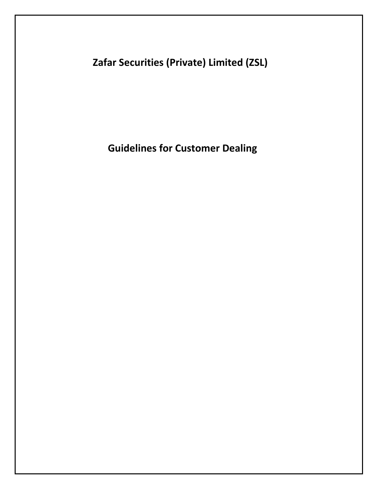Zafar Securities (Private) Limited (ZSL)

Guidelines for Customer Dealing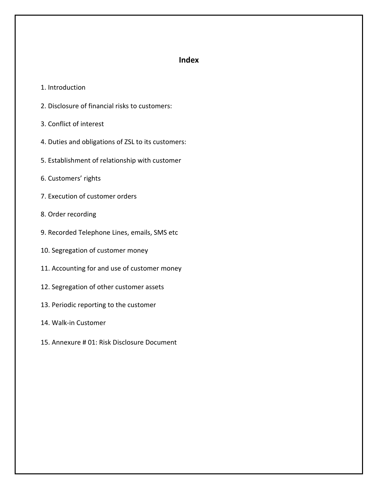# Index

- 1. Introduction
- 2. Disclosure of financial risks to customers:
- 3. Conflict of interest
- 4. Duties and obligations of ZSL to its customers:
- 5. Establishment of relationship with customer
- 6. Customers' rights
- 7. Execution of customer orders
- 8. Order recording
- 9. Recorded Telephone Lines, emails, SMS etc
- 10. Segregation of customer money
- 11. Accounting for and use of customer money
- 12. Segregation of other customer assets
- 13. Periodic reporting to the customer
- 14. Walk-in Customer
- 15. Annexure # 01: Risk Disclosure Document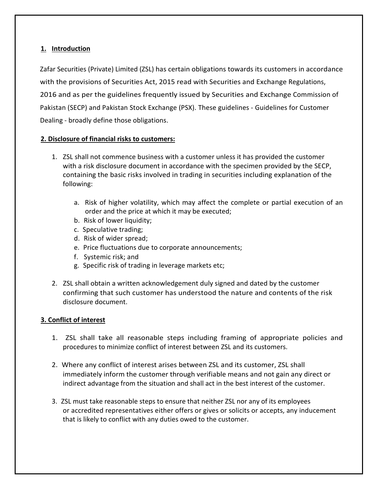# 1. Introduction

Zafar Securities (Private) Limited (ZSL) has certain obligations towards its customers in accordance with the provisions of Securities Act, 2015 read with Securities and Exchange Regulations, 2016 and as per the guidelines frequently issued by Securities and Exchange Commission of Pakistan (SECP) and Pakistan Stock Exchange (PSX). These guidelines - Guidelines for Customer Dealing - broadly define those obligations.

# 2. Disclosure of financial risks to customers:

- 1. ZSL shall not commence business with a customer unless it has provided the customer with a risk disclosure document in accordance with the specimen provided by the SECP, containing the basic risks involved in trading in securities including explanation of the following:
	- a. Risk of higher volatility, which may affect the complete or partial execution of an order and the price at which it may be executed;
	- b. Risk of lower liquidity;
	- c. Speculative trading;
	- d. Risk of wider spread;
	- e. Price fluctuations due to corporate announcements;
	- f. Systemic risk; and
	- g. Specific risk of trading in leverage markets etc;
- 2. ZSL shall obtain a written acknowledgement duly signed and dated by the customer confirming that such customer has understood the nature and contents of the risk disclosure document.

#### 3. Conflict of interest

- 1. ZSL shall take all reasonable steps including framing of appropriate policies and procedures to minimize conflict of interest between ZSL and its customers.
- 2. Where any conflict of interest arises between ZSL and its customer, ZSL shall immediately inform the customer through verifiable means and not gain any direct or indirect advantage from the situation and shall act in the best interest of the customer.
- 3. ZSL must take reasonable steps to ensure that neither ZSL nor any of its employees or accredited representatives either offers or gives or solicits or accepts, any inducement that is likely to conflict with any duties owed to the customer.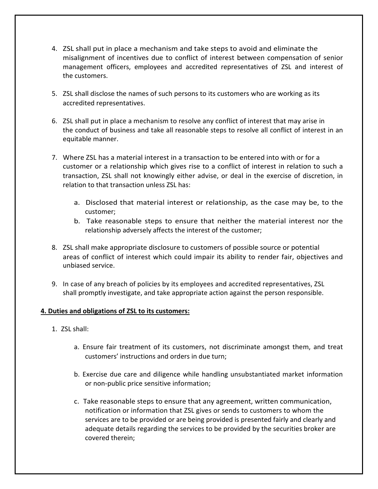- 4. ZSL shall put in place a mechanism and take steps to avoid and eliminate the misalignment of incentives due to conflict of interest between compensation of senior management officers, employees and accredited representatives of ZSL and interest of the customers.
- 5. ZSL shall disclose the names of such persons to its customers who are working as its accredited representatives.
- 6. ZSL shall put in place a mechanism to resolve any conflict of interest that may arise in the conduct of business and take all reasonable steps to resolve all conflict of interest in an equitable manner.
- 7. Where ZSL has a material interest in a transaction to be entered into with or for a customer or a relationship which gives rise to a conflict of interest in relation to such a transaction, ZSL shall not knowingly either advise, or deal in the exercise of discretion, in relation to that transaction unless ZSL has:
	- a. Disclosed that material interest or relationship, as the case may be, to the customer;
	- b. Take reasonable steps to ensure that neither the material interest nor the relationship adversely affects the interest of the customer;
- 8. ZSL shall make appropriate disclosure to customers of possible source or potential areas of conflict of interest which could impair its ability to render fair, objectives and unbiased service.
- 9. In case of any breach of policies by its employees and accredited representatives, ZSL shall promptly investigate, and take appropriate action against the person responsible.

# 4. Duties and obligations of ZSL to its customers:

- 1. ZSL shall:
	- a. Ensure fair treatment of its customers, not discriminate amongst them, and treat customers' instructions and orders in due turn;
	- b. Exercise due care and diligence while handling unsubstantiated market information or non-public price sensitive information;
	- c. Take reasonable steps to ensure that any agreement, written communication, notification or information that ZSL gives or sends to customers to whom the services are to be provided or are being provided is presented fairly and clearly and adequate details regarding the services to be provided by the securities broker are covered therein;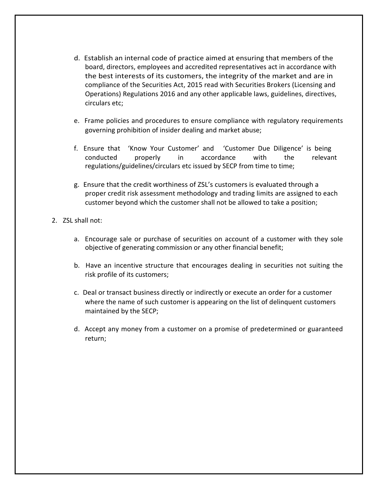- d. Establish an internal code of practice aimed at ensuring that members of the board, directors, employees and accredited representatives act in accordance with the best interests of its customers, the integrity of the market and are in compliance of the Securities Act, 2015 read with Securities Brokers (Licensing and Operations) Regulations 2016 and any other applicable laws, guidelines, directives, circulars etc;
- e. Frame policies and procedures to ensure compliance with regulatory requirements governing prohibition of insider dealing and market abuse;
- f. Ensure that 'Know Your Customer' and 'Customer Due Diligence' is being conducted properly in accordance with the relevant regulations/guidelines/circulars etc issued by SECP from time to time;
- g. Ensure that the credit worthiness of ZSL's customers is evaluated through a proper credit risk assessment methodology and trading limits are assigned to each customer beyond which the customer shall not be allowed to take a position;
- 2. ZSL shall not:
	- a. Encourage sale or purchase of securities on account of a customer with they sole objective of generating commission or any other financial benefit;
	- b. Have an incentive structure that encourages dealing in securities not suiting the risk profile of its customers;
	- c. Deal or transact business directly or indirectly or execute an order for a customer where the name of such customer is appearing on the list of delinquent customers maintained by the SECP;
	- d. Accept any money from a customer on a promise of predetermined or guaranteed return;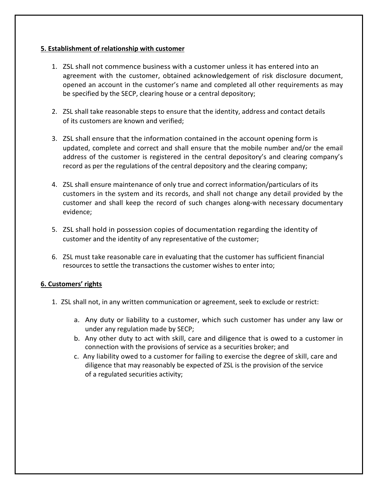# 5. Establishment of relationship with customer

- 1. ZSL shall not commence business with a customer unless it has entered into an agreement with the customer, obtained acknowledgement of risk disclosure document, opened an account in the customer's name and completed all other requirements as may be specified by the SECP, clearing house or a central depository;
- 2. ZSL shall take reasonable steps to ensure that the identity, address and contact details of its customers are known and verified;
- 3. ZSL shall ensure that the information contained in the account opening form is updated, complete and correct and shall ensure that the mobile number and/or the email address of the customer is registered in the central depository's and clearing company's record as per the regulations of the central depository and the clearing company;
- 4. ZSL shall ensure maintenance of only true and correct information/particulars of its customers in the system and its records, and shall not change any detail provided by the customer and shall keep the record of such changes along-with necessary documentary evidence;
- 5. ZSL shall hold in possession copies of documentation regarding the identity of customer and the identity of any representative of the customer;
- 6. ZSL must take reasonable care in evaluating that the customer has sufficient financial resources to settle the transactions the customer wishes to enter into;

# 6. Customers' rights

- 1. ZSL shall not, in any written communication or agreement, seek to exclude or restrict:
	- a. Any duty or liability to a customer, which such customer has under any law or under any regulation made by SECP;
	- b. Any other duty to act with skill, care and diligence that is owed to a customer in connection with the provisions of service as a securities broker; and
	- c. Any liability owed to a customer for failing to exercise the degree of skill, care and diligence that may reasonably be expected of ZSL is the provision of the service of a regulated securities activity;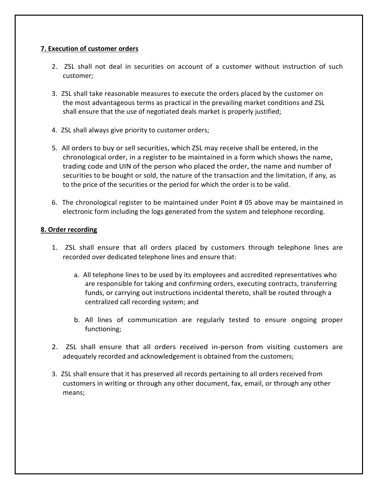# 7. Execution of customer orders

- 2. ZSL shall not deal in securities on account of a customer without instruction of such customer;
- 3. ZSL shall take reasonable measures to execute the orders placed by the customer on the most advantageous terms as practical in the prevailing market conditions and ZSL shall ensure that the use of negotiated deals market is properly justified;
- 4. ZSL shall always give priority to customer orders;
- 5. All orders to buy or sell securities, which ZSL may receive shall be entered, in the chronological order, in a register to be maintained in a form which shows the name, trading code and UIN of the person who placed the order, the name and number of securities to be bought or sold, the nature of the transaction and the limitation, if any, as to the price of the securities or the period for which the order is to be valid.
- 6. The chronological register to be maintained under Point # 05 above may be maintained in electronic form including the logs generated from the system and telephone recording.

# 8. Order recording

- 1. ZSL shall ensure that all orders placed by customers through telephone lines are recorded over dedicated telephone lines and ensure that:
	- a. All telephone lines to be used by its employees and accredited representatives who are responsible for taking and confirming orders, executing contracts, transferring funds, or carrying out instructions incidental thereto, shall be routed through a centralized call recording system; and
	- b. All lines of communication are regularly tested to ensure ongoing proper functioning;
- 2. ZSL shall ensure that all orders received in-person from visiting customers are adequately recorded and acknowledgement is obtained from the customers;
- 3. ZSL shall ensure that it has preserved all records pertaining to all orders received from customers in writing or through any other document, fax, email, or through any other means;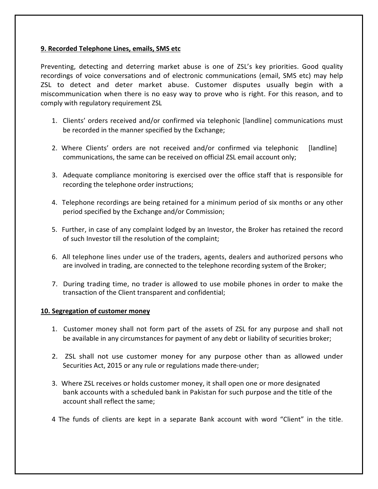#### 9. Recorded Telephone Lines, emails, SMS etc

Preventing, detecting and deterring market abuse is one of ZSL's key priorities. Good quality recordings of voice conversations and of electronic communications (email, SMS etc) may help ZSL to detect and deter market abuse. Customer disputes usually begin with a miscommunication when there is no easy way to prove who is right. For this reason, and to comply with regulatory requirement ZSL

- 1. Clients' orders received and/or confirmed via telephonic [landline] communications must be recorded in the manner specified by the Exchange;
- 2. Where Clients' orders are not received and/or confirmed via telephonic [landline] communications, the same can be received on official ZSL email account only;
- 3. Adequate compliance monitoring is exercised over the office staff that is responsible for recording the telephone order instructions;
- 4. Telephone recordings are being retained for a minimum period of six months or any other period specified by the Exchange and/or Commission;
- 5. Further, in case of any complaint lodged by an Investor, the Broker has retained the record of such Investor till the resolution of the complaint;
- 6. All telephone lines under use of the traders, agents, dealers and authorized persons who are involved in trading, are connected to the telephone recording system of the Broker;
- 7. During trading time, no trader is allowed to use mobile phones in order to make the transaction of the Client transparent and confidential;

#### 10. Segregation of customer money

- 1. Customer money shall not form part of the assets of ZSL for any purpose and shall not be available in any circumstances for payment of any debt or liability of securities broker;
- 2. ZSL shall not use customer money for any purpose other than as allowed under Securities Act, 2015 or any rule or regulations made there-under;
- 3. Where ZSL receives or holds customer money, it shall open one or more designated bank accounts with a scheduled bank in Pakistan for such purpose and the title of the account shall reflect the same;
- 4 The funds of clients are kept in a separate Bank account with word "Client" in the title.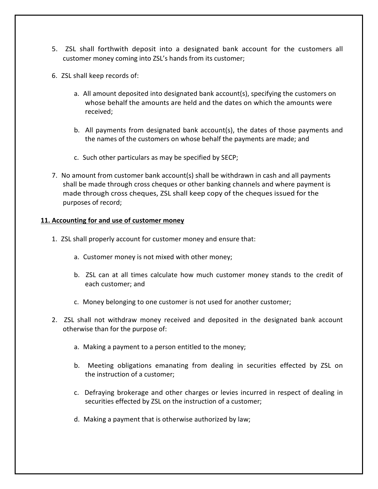- 5. ZSL shall forthwith deposit into a designated bank account for the customers all customer money coming into ZSL's hands from its customer;
- 6. ZSL shall keep records of:
	- a. All amount deposited into designated bank account(s), specifying the customers on whose behalf the amounts are held and the dates on which the amounts were received;
	- b. All payments from designated bank account(s), the dates of those payments and the names of the customers on whose behalf the payments are made; and
	- c. Such other particulars as may be specified by SECP;
- 7. No amount from customer bank account(s) shall be withdrawn in cash and all payments shall be made through cross cheques or other banking channels and where payment is made through cross cheques, ZSL shall keep copy of the cheques issued for the purposes of record;

#### 11. Accounting for and use of customer money

- 1. ZSL shall properly account for customer money and ensure that:
	- a. Customer money is not mixed with other money;
	- b. ZSL can at all times calculate how much customer money stands to the credit of each customer; and
	- c. Money belonging to one customer is not used for another customer;
- 2. ZSL shall not withdraw money received and deposited in the designated bank account otherwise than for the purpose of:
	- a. Making a payment to a person entitled to the money;
	- b. Meeting obligations emanating from dealing in securities effected by ZSL on the instruction of a customer;
	- c. Defraying brokerage and other charges or levies incurred in respect of dealing in securities effected by ZSL on the instruction of a customer;
	- d. Making a payment that is otherwise authorized by law;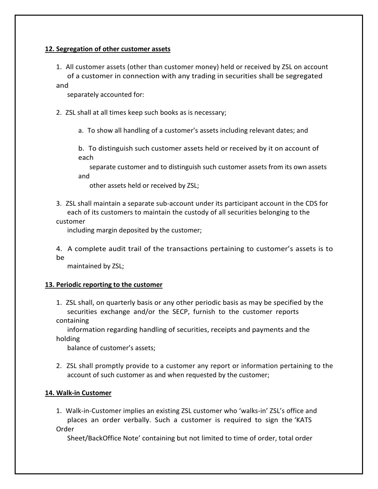# 12. Segregation of other customer assets

1. All customer assets (other than customer money) held or received by ZSL on account of a customer in connection with any trading in securities shall be segregated

and

separately accounted for:

- 2. ZSL shall at all times keep such books as is necessary;
	- a. To show all handling of a customer's assets including relevant dates; and

b. To distinguish such customer assets held or received by it on account of each

separate customer and to distinguish such customer assets from its own assets and

other assets held or received by ZSL;

3. ZSL shall maintain a separate sub-account under its participant account in the CDS for each of its customers to maintain the custody of all securities belonging to the customer

including margin deposited by the customer;

4. A complete audit trail of the transactions pertaining to customer's assets is to be

maintained by ZSL;

#### 13. Periodic reporting to the customer

1. ZSL shall, on quarterly basis or any other periodic basis as may be specified by the securities exchange and/or the SECP, furnish to the customer reports containing

information regarding handling of securities, receipts and payments and the holding

balance of customer's assets;

2. ZSL shall promptly provide to a customer any report or information pertaining to the account of such customer as and when requested by the customer;

#### 14. Walk-in Customer

1. Walk-in-Customer implies an existing ZSL customer who 'walks-in' ZSL's office and places an order verbally. Such a customer is required to sign the 'KATS Order

Sheet/BackOffice Note' containing but not limited to time of order, total order